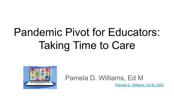# Pandemic Pivot for Educators: Taking Time to Care



#### Pamela D. Williams, Ed M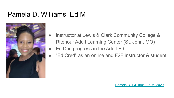#### Pamela D. Williams, Ed M



- Instructor at Lewis & Clark Community College & Ritenour Adult Learning Center (St. John, MO)
- Ed D in progress in the Adult Ed
- "Ed Cred" as an online and F2F instructor & student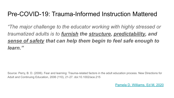#### Pre-COVID-19: Trauma-Informed Instruction Mattered

*"The major challenge to the educator working with highly stressed or traumatized adults is to furnish the structure, predictability, and sense of safety that can help them begin to feel safe enough to learn."*

Source: Perry, B. D. (2006). Fear and learning: Trauma-related factors in the adult education process. New Directions for Adult and Continuing Education, 2006 (110), 21-27. doi:10.1002/ace.215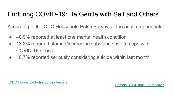### Enduring COVID-19: Be Gentle with Self and Others

According to the CDC Household Pulse Survey, of the adult respondents:

- 40.9% reported at least one mental health condition
- 13.3% reported starting/increasing substance use to cope with COVID-19 stress
- 10.7% reported seriously considering suicide within last month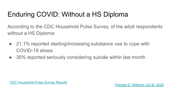# Enduring COVID: Without a HS Diploma

According to the CDC Household Pulse Survey, of the adult respondents without a HS Diploma:

- 21.1% reported starting/increasing substance use to cope with COVID-19 stress
- 30% reported seriously considering suicide within last month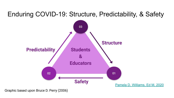### Enduring COVID-19: Structure, Predictability, & Safety



Graphic based upon Bruce D. Perry (2006)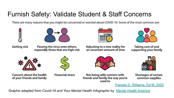### **Furnish Safety: Validate Student & Staff Concerns**

There are many reasons that you might be concerned or worried about COVID-19. Some of the most common are:





**Getting sick** 

Passing the virus onto others, especially those that are high-risk

0000 **2220** 000 nnr





Taking care of and supporting your family



Concern about the health of your friends and family

**Financial stress** 



Not being able connect with friends and family the way you're used to



**Shortages of certain** common supplies

Pamela D. Williams, Ed M, 2020

Graphic adapted from Covid-19 and Your Mental Health Infographic by Mental Health America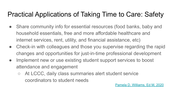# Practical Applications of Taking Time to Care: Safety

- Share community info for essential resources (food banks, baby and household essentials, free and more affordable healthcare and internet services, rent, utility, and financial assistance, etc)
- Check-in with colleagues and those you supervise regarding the rapid changes and opportunities for just-in-time professional development
- Implement new or use existing student support services to boost attendance and engagement
	- At LCCC, daily class summaries alert student service coordinators to student needs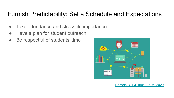#### Furnish Predictability: Set a Schedule and Expectations

- Take attendance and stress its importance
- Have a plan for student outreach
- Be respectful of students' time

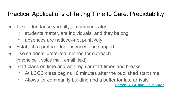#### Practical Applications of Taking Time to Care: Predictability

- Take attendance verbally; it communicates:
	- students matter, are individuals, and they belong
	- absences are noticed--not punitively
- Establish a protocol for absences and support
- Use students' preferred method for outreach (phone call, voice mail, email, text)
- Start class on time and with regular start times and breaks
	- At LCCC class begins 10 minutes after the published start time
	- Allows for community building and a buffer for late arrivals [Pamela D. Williams, Ed M, 2020](http://www.pameladwilliams.com)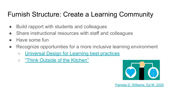# Furnish Structure: Create a Learning Community

- Build rapport with students and colleagues
- Share instructional resources with staff and colleagues
- Have some fun
- Recognize opportunities for a more inclusive learning environment
	- [Universal Design for Learning best practices](http://udlguidelines.cast.org/)
	- ["Think Outside of the Kitchen"](https://sites.google.com/view/pamela-d-williams-ed-m/my-blog?authuser=0)

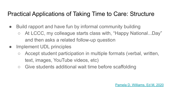#### Practical Applications of Taking Time to Care: Structure

- Build rapport and have fun by informal community building
	- At LCCC, my colleague starts class with, "Happy National...Day" and then asks a related follow-up question
- Implement UDL principles
	- Accept student participation in multiple formats (verbal, written, text, images, YouTube videos, etc)
	- Give students additional wait time before scaffolding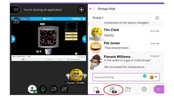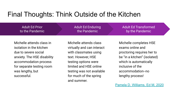#### Final Thoughts: Think Outside of the Kitchen

Adult Ed Prior to Pandemic Adult Ed Prior to the Pandemic

Adult Ed Enduring Pandemic Adult Ed Enduring the Pandemic

Adult Ed Transformed Adult Ed Transformed by the Pandemic

Michelle attends class in isolation in the kitchen due to severe social anxiety. The HSE disability accommodation process for separate testing room was lengthy, but successful.

Michelle attends class virtually and can interact with classmates using text. However, HSE testing options were limited and HSE online testing was not available for much of the spring and summer.

Michelle completes HSE exams online and proctoring requires her to be "in a kitchen" (isolated) which is automatically inclusive of the accommodation--no lengthy process!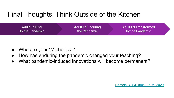### Final Thoughts: Think Outside of the Kitchen

| Adult Ed Prior  | <b>Adult Ed Enduring</b> | <b>Adult Ed Transformed</b> |
|-----------------|--------------------------|-----------------------------|
| to the Pandemic | the Pandemic \           | by the Pandemic             |

- Who are your "Michelles"?
- How has enduring the pandemic changed your teaching?
- What pandemic-induced innovations will become permanent?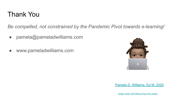#### Thank You

*Be compelled, not constrained by the Pandemic Pivot towards e-learning!*

- pamela@pameladwilliams.com
- www.pameladwilliams.com

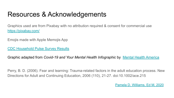### Resources & Acknowledgements

Graphics used are from Pixabay with no attribution required & consent for commercial use <https://pixabay.com/>

Emojis made with Apple Memojis App

[CDC Household Pulse Survey Results](https://www.cdc.gov/mmwr/volumes/69/wr/mm6932a1.htm#References)

Graphic adapted from *Covid-19 and Your Mental Health Infographic* by [Mental Health America](https://mhanational.org/sites/default/files/COVID-19%20and%20Your%20Mental%20Health%20Infographic_0.pdf)

Perry, B. D. (2006). Fear and learning: Trauma-related factors in the adult education process. New Directions for Adult and Continuing Education, 2006 (110), 21-27. doi:10.1002/ace.215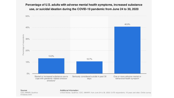Percentage of U.S. adults with adverse mental health symptoms, increased substance use, or suicidal ideation during the COVID-19 pandemic from June 24 to 30, 2020



#### Sources CDC; MMWR; Qualtrics

#### Additional Information:

United States; Qualtrics; CDC; MMWR; from June 24 to 30, 2020; 5,470 respondents; 18 years and older; Online survey

© Statista 2020